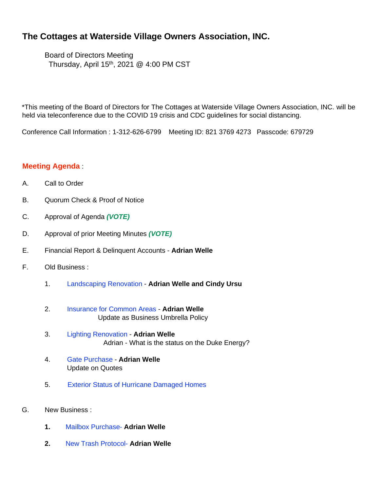## **The Cottages at Waterside Village Owners Association, INC.**

Board of Directors Meeting Thursday, April 15th, 2021 @ 4:00 PM CST

\*This meeting of the Board of Directors for The Cottages at Waterside Village Owners Association, INC. will be held via teleconference due to the COVID 19 crisis and CDC guidelines for social distancing.

Conference Call Information : 1-312-626-6799 Meeting ID: 821 3769 4273 Passcode: 679729

## **Meeting Agenda** :

- A. Call to Order
- B. Quorum Check & Proof of Notice
- C. Approval of Agenda *(VOTE)*
- D. Approval of prior Meeting Minutes *(VOTE)*
- E. Financial Report & Delinquent Accounts **Adrian Welle**
- F. Old Business :
	- 1. Landscaping Renovation **Adrian Welle and Cindy Ursu**
	- 2. Insurance for Common Areas **Adrian Welle**  Update as Business Umbrella Policy
	- 3. Lighting Renovation **Adrian Welle** Adrian - What is the status on the Duke Energy?
	- 4. Gate Purchase **Adrian Welle** Update on Quotes
	- 5. Exterior Status of Hurricane Damaged Homes
- G. New Business :
	- **1.** Mailbox Purchase- **Adrian Welle**
	- **2.** New Trash Protocol- **Adrian Welle**